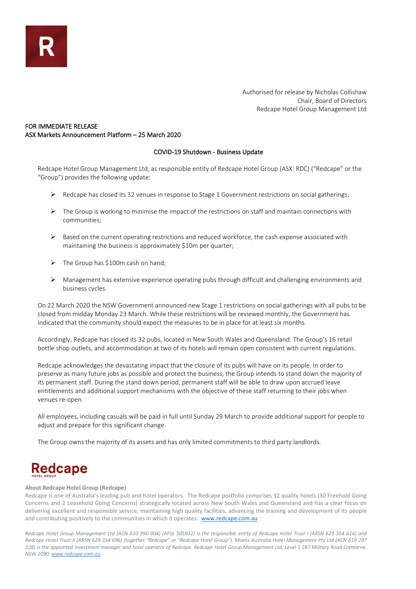Authorised for release by Nicholas Collishaw Chair, Board of Directors Redcape Hotel Group Management Ltd

## FOR IMMEDIATE RELEASE ASX Markets Announcement Platform – 25 March 2020

### COVID-19 Shutdown - Business Update

Redcape Hotel Group Management Ltd, as responsible entity of Redcape Hotel Group (ASX: RDC) ("Redcape" or the "Group") provides the following update:

- $\triangleright$  Redcape has closed its 32 venues in response to Stage 1 Government restrictions on social gatherings;
- $\triangleright$  The Group is working to minimise the impact of the restrictions on staff and maintain connections with communities;
- $\triangleright$  Based on the current operating restrictions and reduced workforce, the cash expense associated with maintaining the business is approximately \$10m per quarter;
- $\triangleright$  The Group has \$100m cash on hand;
- $\triangleright$  Management has extensive experience operating pubs through difficult and challenging environments and business cycles.

On 22 March 2020 the NSW Government announced new Stage 1 restrictions on social gatherings with all pubs to be closed from midday Monday 23 March. While these restrictions will be reviewed monthly, the Government has indicated that the community should expect the measures to be in place for at least six months.

Accordingly, Redcape has closed its 32 pubs, located in New South Wales and Queensland. The Group's 16 retail bottle shop outlets, and accommodation at two of its hotels will remain open consistent with current regulations.

Redcape acknowledges the devastating impact that the closure of its pubs will have on its people. In order to preserve as many future jobs as possible and protect the business, the Group intends to stand down the majority of its permanent staff. During the stand down period, permanent staff will be able to draw upon accrued leave entitlements and additional support mechanisms with the objective of these staff returning to their jobs when venues re-open.

All employees, including casuals will be paid in full until Sunday 29 March to provide additional support for people to adjust and prepare for this significant change.

The Group owns the majority of its assets and has only limited commitments to third party landlords.

# **Redcape**

### **About Redcape Hotel Group (Redcape)**

Redcape is one of Australia's leading pub and hotel operators. The Redcape portfolio comprises 32 quality hotels (30 Freehold Going Concerns and 2 Leasehold Going Concerns) strategically located across New South Wales and Queensland and has a clear focus on delivering excellent and responsible service, maintaining high quality facilities, advancing the training and development of its people and contributing positively to the communities in which it operates. [www.redcape.com.au](http://www.redcape.com.au/)

*Redcape Hotel Group Management Ltd (ACN 610 990 004) (AFSL 505932) is the responsible entity of Redcape Hotel Trust I (ARSN 629 354 614) and Redcape Hotel Trust II (ARSN 629 354 696) (together "Redcape" or "Redcape Hotel Group"). Moelis Australia Hotel Management Pty Ltd (ACN 619 297 228) is the appointed investment manager and hotel operator of Redcape. Redcape Hotel Group Management Ltd, Level 1 287 Military Road Cremorne, NSW 2090[. www.redcape.com.au](http://www.redcape.com.au/)*